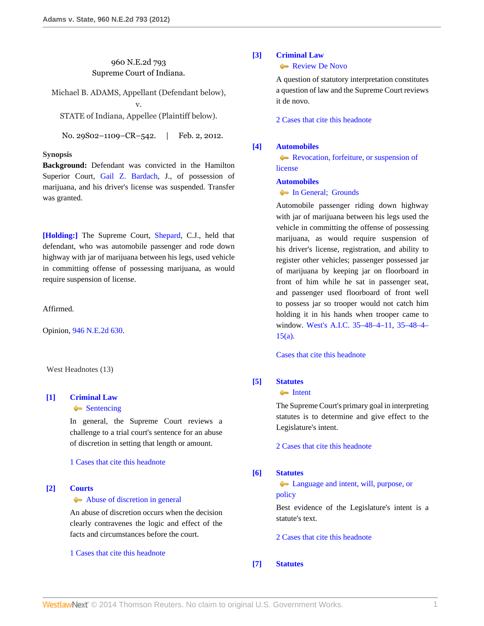# 960 N.E.2d 793 Supreme Court of Indiana.

Michael B. ADAMS, Appellant (Defendant below), v. STATE of Indiana, Appellee (Plaintiff below).

No. 29S02-1109-CR-542. | Feb. 2, 2012.

### **Synopsis**

**Background:** Defendant was convicted in the Hamilton Superior Court, [Gail Z. Bardach,](http://www.westlaw.com/Link/Document/FullText?findType=h&pubNum=176284&cite=0395182201&originatingDoc=Iada70ae14e3e11e1b71fa7764cbfcb47&refType=RQ&originationContext=document&vr=3.0&rs=cblt1.0&transitionType=DocumentItem&contextData=(sc.Search)) J., of possession of marijuana, and his driver's license was suspended. Transfer was granted.

**[\[Holding:\]](#page-0-0)** The Supreme Court, [Shepard,](http://www.westlaw.com/Link/Document/FullText?findType=h&pubNum=176284&cite=0196756701&originatingDoc=Iada70ae14e3e11e1b71fa7764cbfcb47&refType=RQ&originationContext=document&vr=3.0&rs=cblt1.0&transitionType=DocumentItem&contextData=(sc.Search)) C.J., held that defendant, who was automobile passenger and rode down highway with jar of marijuana between his legs, used vehicle in committing offense of possessing marijuana, as would require suspension of license.

Affirmed.

Opinion, [946 N.E.2d 630](http://www.westlaw.com/Link/Document/FullText?findType=Y&serNum=2024927313&pubNum=578&originationContext=document&vr=3.0&rs=cblt1.0&transitionType=DocumentItem&contextData=(sc.Search)).

West Headnotes (13)

# <span id="page-0-1"></span>**[\[1\]](#page-3-0) [Criminal Law](http://www.westlaw.com/Browse/Home/KeyNumber/110/View.html?docGuid=Iada70ae14e3e11e1b71fa7764cbfcb47&originationContext=document&vr=3.0&rs=cblt1.0&transitionType=DocumentItem&contextData=(sc.Search))**

[Sentencing](http://www.westlaw.com/Browse/Home/KeyNumber/110k1156.1/View.html?docGuid=Iada70ae14e3e11e1b71fa7764cbfcb47&originationContext=document&vr=3.0&rs=cblt1.0&transitionType=DocumentItem&contextData=(sc.Search))

In general, the Supreme Court reviews a challenge to a trial court's sentence for an abuse of discretion in setting that length or amount.

[1 Cases that cite this headnote](http://www.westlaw.com/Link/RelatedInformation/DocHeadnoteLink?docGuid=Iada70ae14e3e11e1b71fa7764cbfcb47&headnoteId=202698086400120130224083059&originationContext=document&vr=3.0&rs=cblt1.0&transitionType=CitingReferences&contextData=(sc.Search))

# <span id="page-0-2"></span>**[\[2\]](#page-3-1) [Courts](http://www.westlaw.com/Browse/Home/KeyNumber/106/View.html?docGuid=Iada70ae14e3e11e1b71fa7764cbfcb47&originationContext=document&vr=3.0&rs=cblt1.0&transitionType=DocumentItem&contextData=(sc.Search))**

#### [Abuse of discretion in general](http://www.westlaw.com/Browse/Home/KeyNumber/106k26(3)/View.html?docGuid=Iada70ae14e3e11e1b71fa7764cbfcb47&originationContext=document&vr=3.0&rs=cblt1.0&transitionType=DocumentItem&contextData=(sc.Search))

An abuse of discretion occurs when the decision clearly contravenes the logic and effect of the facts and circumstances before the court.

[1 Cases that cite this headnote](http://www.westlaw.com/Link/RelatedInformation/DocHeadnoteLink?docGuid=Iada70ae14e3e11e1b71fa7764cbfcb47&headnoteId=202698086400220130224083059&originationContext=document&vr=3.0&rs=cblt1.0&transitionType=CitingReferences&contextData=(sc.Search))

#### <span id="page-0-3"></span>**[\[3\]](#page-3-2) [Criminal Law](http://www.westlaw.com/Browse/Home/KeyNumber/110/View.html?docGuid=Iada70ae14e3e11e1b71fa7764cbfcb47&originationContext=document&vr=3.0&rs=cblt1.0&transitionType=DocumentItem&contextData=(sc.Search))**

[Review De Novo](http://www.westlaw.com/Browse/Home/KeyNumber/110XXIV(L)13/View.html?docGuid=Iada70ae14e3e11e1b71fa7764cbfcb47&originationContext=document&vr=3.0&rs=cblt1.0&transitionType=DocumentItem&contextData=(sc.Search))

A question of statutory interpretation constitutes a question of law and the Supreme Court reviews it de novo.

[2 Cases that cite this headnote](http://www.westlaw.com/Link/RelatedInformation/DocHeadnoteLink?docGuid=Iada70ae14e3e11e1b71fa7764cbfcb47&headnoteId=202698086400320130224083059&originationContext=document&vr=3.0&rs=cblt1.0&transitionType=CitingReferences&contextData=(sc.Search))

#### <span id="page-0-0"></span>**[\[4\]](#page-3-3) [Automobiles](http://www.westlaw.com/Browse/Home/KeyNumber/48A/View.html?docGuid=Iada70ae14e3e11e1b71fa7764cbfcb47&originationContext=document&vr=3.0&rs=cblt1.0&transitionType=DocumentItem&contextData=(sc.Search))**

**[Revocation, forfeiture, or suspension of](http://www.westlaw.com/Browse/Home/KeyNumber/48Ak55/View.html?docGuid=Iada70ae14e3e11e1b71fa7764cbfcb47&originationContext=document&vr=3.0&rs=cblt1.0&transitionType=DocumentItem&contextData=(sc.Search))** [license](http://www.westlaw.com/Browse/Home/KeyNumber/48Ak55/View.html?docGuid=Iada70ae14e3e11e1b71fa7764cbfcb47&originationContext=document&vr=3.0&rs=cblt1.0&transitionType=DocumentItem&contextData=(sc.Search))

# **[Automobiles](http://www.westlaw.com/Browse/Home/KeyNumber/48A/View.html?docGuid=Iada70ae14e3e11e1b71fa7764cbfcb47&originationContext=document&vr=3.0&rs=cblt1.0&transitionType=DocumentItem&contextData=(sc.Search))**

# **In General: Grounds**

Automobile passenger riding down highway with jar of marijuana between his legs used the vehicle in committing the offense of possessing marijuana, as would require suspension of his driver's license, registration, and ability to register other vehicles; passenger possessed jar of marijuana by keeping jar on floorboard in front of him while he sat in passenger seat, and passenger used floorboard of front well to possess jar so trooper would not catch him holding it in his hands when trooper came to window. [West's A.I.C. 35–48–4–11](http://www.westlaw.com/Link/Document/FullText?findType=L&pubNum=1000009&cite=INS35-48-4-11&originatingDoc=Iada70ae14e3e11e1b71fa7764cbfcb47&refType=LQ&originationContext=document&vr=3.0&rs=cblt1.0&transitionType=DocumentItem&contextData=(sc.Search)), [35–48–4–](http://www.westlaw.com/Link/Document/FullText?findType=L&pubNum=1000009&cite=INS35-48-4-15&originatingDoc=Iada70ae14e3e11e1b71fa7764cbfcb47&refType=SP&originationContext=document&vr=3.0&rs=cblt1.0&transitionType=DocumentItem&contextData=(sc.Search)#co_pp_8b3b0000958a4) [15\(a\).](http://www.westlaw.com/Link/Document/FullText?findType=L&pubNum=1000009&cite=INS35-48-4-15&originatingDoc=Iada70ae14e3e11e1b71fa7764cbfcb47&refType=SP&originationContext=document&vr=3.0&rs=cblt1.0&transitionType=DocumentItem&contextData=(sc.Search)#co_pp_8b3b0000958a4)

[Cases that cite this headnote](http://www.westlaw.com/Link/RelatedInformation/DocHeadnoteLink?docGuid=Iada70ae14e3e11e1b71fa7764cbfcb47&headnoteId=202698086400420130224083059&originationContext=document&vr=3.0&rs=cblt1.0&transitionType=CitingReferences&contextData=(sc.Search))

## <span id="page-0-4"></span>**[\[5\]](#page-4-0) [Statutes](http://www.westlaw.com/Browse/Home/KeyNumber/361/View.html?docGuid=Iada70ae14e3e11e1b71fa7764cbfcb47&originationContext=document&vr=3.0&rs=cblt1.0&transitionType=DocumentItem&contextData=(sc.Search))**

**[Intent](http://www.westlaw.com/Browse/Home/KeyNumber/361k1071/View.html?docGuid=Iada70ae14e3e11e1b71fa7764cbfcb47&originationContext=document&vr=3.0&rs=cblt1.0&transitionType=DocumentItem&contextData=(sc.Search))** 

The Supreme Court's primary goal in interpreting statutes is to determine and give effect to the Legislature's intent.

[2 Cases that cite this headnote](http://www.westlaw.com/Link/RelatedInformation/DocHeadnoteLink?docGuid=Iada70ae14e3e11e1b71fa7764cbfcb47&headnoteId=202698086400520130224083059&originationContext=document&vr=3.0&rs=cblt1.0&transitionType=CitingReferences&contextData=(sc.Search))

### <span id="page-0-5"></span>**[\[6\]](#page-4-1) [Statutes](http://www.westlaw.com/Browse/Home/KeyNumber/361/View.html?docGuid=Iada70ae14e3e11e1b71fa7764cbfcb47&originationContext=document&vr=3.0&rs=cblt1.0&transitionType=DocumentItem&contextData=(sc.Search))**

• [Language and intent, will, purpose, or](http://www.westlaw.com/Browse/Home/KeyNumber/361k1080/View.html?docGuid=Iada70ae14e3e11e1b71fa7764cbfcb47&originationContext=document&vr=3.0&rs=cblt1.0&transitionType=DocumentItem&contextData=(sc.Search)) [policy](http://www.westlaw.com/Browse/Home/KeyNumber/361k1080/View.html?docGuid=Iada70ae14e3e11e1b71fa7764cbfcb47&originationContext=document&vr=3.0&rs=cblt1.0&transitionType=DocumentItem&contextData=(sc.Search))

Best evidence of the Legislature's intent is a statute's text.

[2 Cases that cite this headnote](http://www.westlaw.com/Link/RelatedInformation/DocHeadnoteLink?docGuid=Iada70ae14e3e11e1b71fa7764cbfcb47&headnoteId=202698086400620130224083059&originationContext=document&vr=3.0&rs=cblt1.0&transitionType=CitingReferences&contextData=(sc.Search))

<span id="page-0-6"></span>**[\[7\]](#page-4-2) [Statutes](http://www.westlaw.com/Browse/Home/KeyNumber/361/View.html?docGuid=Iada70ae14e3e11e1b71fa7764cbfcb47&originationContext=document&vr=3.0&rs=cblt1.0&transitionType=DocumentItem&contextData=(sc.Search))**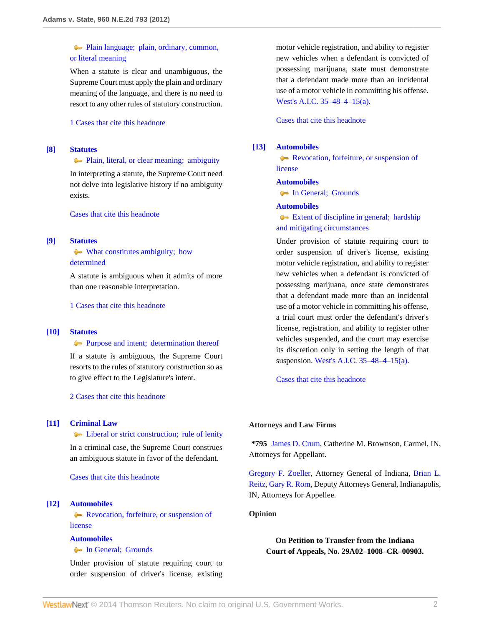# [Plain language; plain, ordinary, common,](http://www.westlaw.com/Browse/Home/KeyNumber/361k1111/View.html?docGuid=Iada70ae14e3e11e1b71fa7764cbfcb47&originationContext=document&vr=3.0&rs=cblt1.0&transitionType=DocumentItem&contextData=(sc.Search)) [or literal meaning](http://www.westlaw.com/Browse/Home/KeyNumber/361k1111/View.html?docGuid=Iada70ae14e3e11e1b71fa7764cbfcb47&originationContext=document&vr=3.0&rs=cblt1.0&transitionType=DocumentItem&contextData=(sc.Search))

When a statute is clear and unambiguous, the Supreme Court must apply the plain and ordinary meaning of the language, and there is no need to resort to any other rules of statutory construction.

### [1 Cases that cite this headnote](http://www.westlaw.com/Link/RelatedInformation/DocHeadnoteLink?docGuid=Iada70ae14e3e11e1b71fa7764cbfcb47&headnoteId=202698086400720130224083059&originationContext=document&vr=3.0&rs=cblt1.0&transitionType=CitingReferences&contextData=(sc.Search))

### <span id="page-1-0"></span>**[\[8\]](#page-4-3) [Statutes](http://www.westlaw.com/Browse/Home/KeyNumber/361/View.html?docGuid=Iada70ae14e3e11e1b71fa7764cbfcb47&originationContext=document&vr=3.0&rs=cblt1.0&transitionType=DocumentItem&contextData=(sc.Search))**

#### **[Plain, literal, or clear meaning; ambiguity](http://www.westlaw.com/Browse/Home/KeyNumber/361k1242/View.html?docGuid=Iada70ae14e3e11e1b71fa7764cbfcb47&originationContext=document&vr=3.0&rs=cblt1.0&transitionType=DocumentItem&contextData=(sc.Search))**

In interpreting a statute, the Supreme Court need not delve into legislative history if no ambiguity exists.

[Cases that cite this headnote](http://www.westlaw.com/Link/RelatedInformation/DocHeadnoteLink?docGuid=Iada70ae14e3e11e1b71fa7764cbfcb47&headnoteId=202698086400820130224083059&originationContext=document&vr=3.0&rs=cblt1.0&transitionType=CitingReferences&contextData=(sc.Search))

## <span id="page-1-1"></span>**[\[9\]](#page-4-4) [Statutes](http://www.westlaw.com/Browse/Home/KeyNumber/361/View.html?docGuid=Iada70ae14e3e11e1b71fa7764cbfcb47&originationContext=document&vr=3.0&rs=cblt1.0&transitionType=DocumentItem&contextData=(sc.Search))**

# $\blacklozenge$  [What constitutes ambiguity; how](http://www.westlaw.com/Browse/Home/KeyNumber/361k1102/View.html?docGuid=Iada70ae14e3e11e1b71fa7764cbfcb47&originationContext=document&vr=3.0&rs=cblt1.0&transitionType=DocumentItem&contextData=(sc.Search)) [determined](http://www.westlaw.com/Browse/Home/KeyNumber/361k1102/View.html?docGuid=Iada70ae14e3e11e1b71fa7764cbfcb47&originationContext=document&vr=3.0&rs=cblt1.0&transitionType=DocumentItem&contextData=(sc.Search))

A statute is ambiguous when it admits of more than one reasonable interpretation.

[1 Cases that cite this headnote](http://www.westlaw.com/Link/RelatedInformation/DocHeadnoteLink?docGuid=Iada70ae14e3e11e1b71fa7764cbfcb47&headnoteId=202698086400920130224083059&originationContext=document&vr=3.0&rs=cblt1.0&transitionType=CitingReferences&contextData=(sc.Search))

## <span id="page-1-2"></span>**[\[10\]](#page-4-5) [Statutes](http://www.westlaw.com/Browse/Home/KeyNumber/361/View.html?docGuid=Iada70ae14e3e11e1b71fa7764cbfcb47&originationContext=document&vr=3.0&rs=cblt1.0&transitionType=DocumentItem&contextData=(sc.Search))**

### **[Purpose and intent; determination thereof](http://www.westlaw.com/Browse/Home/KeyNumber/361k1105/View.html?docGuid=Iada70ae14e3e11e1b71fa7764cbfcb47&originationContext=document&vr=3.0&rs=cblt1.0&transitionType=DocumentItem&contextData=(sc.Search))**

If a statute is ambiguous, the Supreme Court resorts to the rules of statutory construction so as to give effect to the Legislature's intent.

[2 Cases that cite this headnote](http://www.westlaw.com/Link/RelatedInformation/DocHeadnoteLink?docGuid=Iada70ae14e3e11e1b71fa7764cbfcb47&headnoteId=202698086401020130224083059&originationContext=document&vr=3.0&rs=cblt1.0&transitionType=CitingReferences&contextData=(sc.Search))

#### <span id="page-1-3"></span>**[\[11\]](#page-4-6) [Criminal Law](http://www.westlaw.com/Browse/Home/KeyNumber/110/View.html?docGuid=Iada70ae14e3e11e1b71fa7764cbfcb47&originationContext=document&vr=3.0&rs=cblt1.0&transitionType=DocumentItem&contextData=(sc.Search))**

**Example 2** [Liberal or strict construction; rule of lenity](http://www.westlaw.com/Browse/Home/KeyNumber/110k12.7(2)/View.html?docGuid=Iada70ae14e3e11e1b71fa7764cbfcb47&originationContext=document&vr=3.0&rs=cblt1.0&transitionType=DocumentItem&contextData=(sc.Search))

In a criminal case, the Supreme Court construes an ambiguous statute in favor of the defendant.

[Cases that cite this headnote](http://www.westlaw.com/Link/RelatedInformation/DocHeadnoteLink?docGuid=Iada70ae14e3e11e1b71fa7764cbfcb47&headnoteId=202698086401120130224083059&originationContext=document&vr=3.0&rs=cblt1.0&transitionType=CitingReferences&contextData=(sc.Search))

# <span id="page-1-4"></span>**[\[12\]](#page-5-0) [Automobiles](http://www.westlaw.com/Browse/Home/KeyNumber/48A/View.html?docGuid=Iada70ae14e3e11e1b71fa7764cbfcb47&originationContext=document&vr=3.0&rs=cblt1.0&transitionType=DocumentItem&contextData=(sc.Search))**

**[Revocation, forfeiture, or suspension of](http://www.westlaw.com/Browse/Home/KeyNumber/48Ak55/View.html?docGuid=Iada70ae14e3e11e1b71fa7764cbfcb47&originationContext=document&vr=3.0&rs=cblt1.0&transitionType=DocumentItem&contextData=(sc.Search))** [license](http://www.westlaw.com/Browse/Home/KeyNumber/48Ak55/View.html?docGuid=Iada70ae14e3e11e1b71fa7764cbfcb47&originationContext=document&vr=3.0&rs=cblt1.0&transitionType=DocumentItem&contextData=(sc.Search))

#### **[Automobiles](http://www.westlaw.com/Browse/Home/KeyNumber/48A/View.html?docGuid=Iada70ae14e3e11e1b71fa7764cbfcb47&originationContext=document&vr=3.0&rs=cblt1.0&transitionType=DocumentItem&contextData=(sc.Search))**

## • [In General; Grounds](http://www.westlaw.com/Browse/Home/KeyNumber/48Ak144.1/View.html?docGuid=Iada70ae14e3e11e1b71fa7764cbfcb47&originationContext=document&vr=3.0&rs=cblt1.0&transitionType=DocumentItem&contextData=(sc.Search))

Under provision of statute requiring court to order suspension of driver's license, existing motor vehicle registration, and ability to register new vehicles when a defendant is convicted of possessing marijuana, state must demonstrate that a defendant made more than an incidental use of a motor vehicle in committing his offense. [West's A.I.C. 35–48–4–15\(a\).](http://www.westlaw.com/Link/Document/FullText?findType=L&pubNum=1000009&cite=INS35-48-4-15&originatingDoc=Iada70ae14e3e11e1b71fa7764cbfcb47&refType=SP&originationContext=document&vr=3.0&rs=cblt1.0&transitionType=DocumentItem&contextData=(sc.Search)#co_pp_8b3b0000958a4)

[Cases that cite this headnote](http://www.westlaw.com/Link/RelatedInformation/DocHeadnoteLink?docGuid=Iada70ae14e3e11e1b71fa7764cbfcb47&headnoteId=202698086401220130224083059&originationContext=document&vr=3.0&rs=cblt1.0&transitionType=CitingReferences&contextData=(sc.Search))

# <span id="page-1-5"></span>**[\[13\]](#page-5-1) [Automobiles](http://www.westlaw.com/Browse/Home/KeyNumber/48A/View.html?docGuid=Iada70ae14e3e11e1b71fa7764cbfcb47&originationContext=document&vr=3.0&rs=cblt1.0&transitionType=DocumentItem&contextData=(sc.Search))**

**[Revocation, forfeiture, or suspension of](http://www.westlaw.com/Browse/Home/KeyNumber/48Ak55/View.html?docGuid=Iada70ae14e3e11e1b71fa7764cbfcb47&originationContext=document&vr=3.0&rs=cblt1.0&transitionType=DocumentItem&contextData=(sc.Search))** [license](http://www.westlaw.com/Browse/Home/KeyNumber/48Ak55/View.html?docGuid=Iada70ae14e3e11e1b71fa7764cbfcb47&originationContext=document&vr=3.0&rs=cblt1.0&transitionType=DocumentItem&contextData=(sc.Search))

# **[Automobiles](http://www.westlaw.com/Browse/Home/KeyNumber/48A/View.html?docGuid=Iada70ae14e3e11e1b71fa7764cbfcb47&originationContext=document&vr=3.0&rs=cblt1.0&transitionType=DocumentItem&contextData=(sc.Search))**

• In General: Grounds

#### **[Automobiles](http://www.westlaw.com/Browse/Home/KeyNumber/48A/View.html?docGuid=Iada70ae14e3e11e1b71fa7764cbfcb47&originationContext=document&vr=3.0&rs=cblt1.0&transitionType=DocumentItem&contextData=(sc.Search))**

[Extent of discipline in general; hardship](http://www.westlaw.com/Browse/Home/KeyNumber/48Ak144.5/View.html?docGuid=Iada70ae14e3e11e1b71fa7764cbfcb47&originationContext=document&vr=3.0&rs=cblt1.0&transitionType=DocumentItem&contextData=(sc.Search)) [and mitigating circumstances](http://www.westlaw.com/Browse/Home/KeyNumber/48Ak144.5/View.html?docGuid=Iada70ae14e3e11e1b71fa7764cbfcb47&originationContext=document&vr=3.0&rs=cblt1.0&transitionType=DocumentItem&contextData=(sc.Search))

Under provision of statute requiring court to order suspension of driver's license, existing motor vehicle registration, and ability to register new vehicles when a defendant is convicted of possessing marijuana, once state demonstrates that a defendant made more than an incidental use of a motor vehicle in committing his offense, a trial court must order the defendant's driver's license, registration, and ability to register other vehicles suspended, and the court may exercise its discretion only in setting the length of that suspension. [West's A.I.C. 35–48–4–15\(a\)](http://www.westlaw.com/Link/Document/FullText?findType=L&pubNum=1000009&cite=INS35-48-4-15&originatingDoc=Iada70ae14e3e11e1b71fa7764cbfcb47&refType=SP&originationContext=document&vr=3.0&rs=cblt1.0&transitionType=DocumentItem&contextData=(sc.Search)#co_pp_8b3b0000958a4).

[Cases that cite this headnote](http://www.westlaw.com/Link/RelatedInformation/DocHeadnoteLink?docGuid=Iada70ae14e3e11e1b71fa7764cbfcb47&headnoteId=202698086401320130224083059&originationContext=document&vr=3.0&rs=cblt1.0&transitionType=CitingReferences&contextData=(sc.Search))

#### **Attorneys and Law Firms**

**\*795** [James D. Crum,](http://www.westlaw.com/Link/Document/FullText?findType=h&pubNum=176284&cite=0184380001&originatingDoc=Iada70ae14e3e11e1b71fa7764cbfcb47&refType=RQ&originationContext=document&vr=3.0&rs=cblt1.0&transitionType=DocumentItem&contextData=(sc.Search)) Catherine M. Brownson, Carmel, IN, Attorneys for Appellant.

[Gregory F. Zoeller](http://www.westlaw.com/Link/Document/FullText?findType=h&pubNum=176284&cite=0136038801&originatingDoc=Iada70ae14e3e11e1b71fa7764cbfcb47&refType=RQ&originationContext=document&vr=3.0&rs=cblt1.0&transitionType=DocumentItem&contextData=(sc.Search)), Attorney General of Indiana, [Brian L.](http://www.westlaw.com/Link/Document/FullText?findType=h&pubNum=176284&cite=0464287601&originatingDoc=Iada70ae14e3e11e1b71fa7764cbfcb47&refType=RQ&originationContext=document&vr=3.0&rs=cblt1.0&transitionType=DocumentItem&contextData=(sc.Search)) [Reitz](http://www.westlaw.com/Link/Document/FullText?findType=h&pubNum=176284&cite=0464287601&originatingDoc=Iada70ae14e3e11e1b71fa7764cbfcb47&refType=RQ&originationContext=document&vr=3.0&rs=cblt1.0&transitionType=DocumentItem&contextData=(sc.Search)), [Gary R. Rom,](http://www.westlaw.com/Link/Document/FullText?findType=h&pubNum=176284&cite=0464290001&originatingDoc=Iada70ae14e3e11e1b71fa7764cbfcb47&refType=RQ&originationContext=document&vr=3.0&rs=cblt1.0&transitionType=DocumentItem&contextData=(sc.Search)) Deputy Attorneys General, Indianapolis, IN, Attorneys for Appellee.

# **Opinion**

**On Petition to Transfer from the Indiana Court of Appeals, No. 29A02–1008–CR–00903.**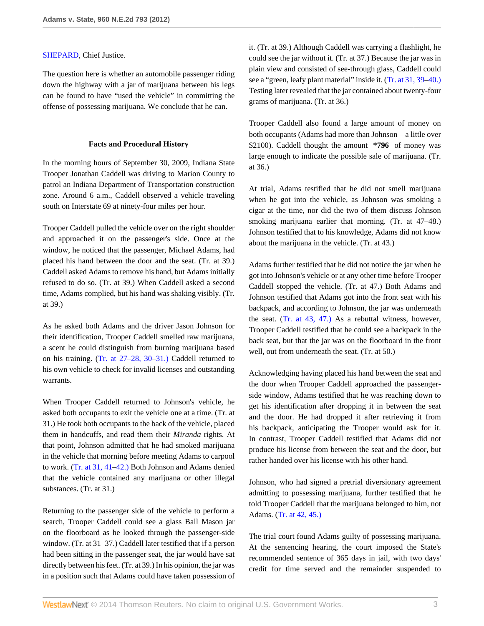#### [SHEPARD,](http://www.westlaw.com/Link/Document/FullText?findType=h&pubNum=176284&cite=0196756701&originatingDoc=Iada70ae14e3e11e1b71fa7764cbfcb47&refType=RQ&originationContext=document&vr=3.0&rs=cblt1.0&transitionType=DocumentItem&contextData=(sc.Search)) Chief Justice.

The question here is whether an automobile passenger riding down the highway with a jar of marijuana between his legs can be found to have "used the vehicle" in committing the offense of possessing marijuana. We conclude that he can.

#### **Facts and Procedural History**

In the morning hours of September 30, 2009, Indiana State Trooper Jonathan Caddell was driving to Marion County to patrol an Indiana Department of Transportation construction zone. Around 6 a.m., Caddell observed a vehicle traveling south on Interstate 69 at ninety-four miles per hour.

Trooper Caddell pulled the vehicle over on the right shoulder and approached it on the passenger's side. Once at the window, he noticed that the passenger, Michael Adams, had placed his hand between the door and the seat. (Tr. at 39.) Caddell asked Adams to remove his hand, but Adams initially refused to do so. (Tr. at 39.) When Caddell asked a second time, Adams complied, but his hand was shaking visibly. (Tr. at 39.)

As he asked both Adams and the driver Jason Johnson for their identification, Trooper Caddell smelled raw marijuana, a scent he could distinguish from burning marijuana based on his training. [\(Tr. at 27–28, 30](http://www.westlaw.com/Link/Document/FullText?findType=L&pubNum=1006354&cite=INSTRPR30&originatingDoc=Iada70ae14e3e11e1b71fa7764cbfcb47&refType=LQ&originationContext=document&vr=3.0&rs=cblt1.0&transitionType=DocumentItem&contextData=(sc.Search))[–31.\)](http://www.westlaw.com/Link/Document/FullText?findType=L&pubNum=1000009&cite=INSTRPR31&originatingDoc=Iada70ae14e3e11e1b71fa7764cbfcb47&refType=LQ&originationContext=document&vr=3.0&rs=cblt1.0&transitionType=DocumentItem&contextData=(sc.Search)) Caddell returned to his own vehicle to check for invalid licenses and outstanding warrants.

When Trooper Caddell returned to Johnson's vehicle, he asked both occupants to exit the vehicle one at a time. (Tr. at 31.) He took both occupants to the back of the vehicle, placed them in handcuffs, and read them their *Miranda* rights. At that point, Johnson admitted that he had smoked marijuana in the vehicle that morning before meeting Adams to carpool to work. [\(Tr. at 31, 41](http://www.westlaw.com/Link/Document/FullText?findType=L&pubNum=1006354&cite=INSTRPR41&originatingDoc=Iada70ae14e3e11e1b71fa7764cbfcb47&refType=LQ&originationContext=document&vr=3.0&rs=cblt1.0&transitionType=DocumentItem&contextData=(sc.Search))[–42.\)](http://www.westlaw.com/Link/Document/FullText?findType=L&pubNum=1000009&cite=INSTRPR42&originatingDoc=Iada70ae14e3e11e1b71fa7764cbfcb47&refType=LQ&originationContext=document&vr=3.0&rs=cblt1.0&transitionType=DocumentItem&contextData=(sc.Search)) Both Johnson and Adams denied that the vehicle contained any marijuana or other illegal substances. (Tr. at 31.)

Returning to the passenger side of the vehicle to perform a search, Trooper Caddell could see a glass Ball Mason jar on the floorboard as he looked through the passenger-side window. (Tr. at 31–37.) Caddell later testified that if a person had been sitting in the passenger seat, the jar would have sat directly between his feet. (Tr. at 39.) In his opinion, the jar was in a position such that Adams could have taken possession of it. (Tr. at 39.) Although Caddell was carrying a flashlight, he could see the jar without it. (Tr. at 37.) Because the jar was in plain view and consisted of see-through glass, Caddell could see a "green, leafy plant material" inside it. ([Tr. at 31, 39](http://www.westlaw.com/Link/Document/FullText?findType=L&pubNum=1006354&cite=INSTRPR39&originatingDoc=Iada70ae14e3e11e1b71fa7764cbfcb47&refType=LQ&originationContext=document&vr=3.0&rs=cblt1.0&transitionType=DocumentItem&contextData=(sc.Search))[–40.\)](http://www.westlaw.com/Link/Document/FullText?findType=L&pubNum=1000009&cite=INSTRPR40&originatingDoc=Iada70ae14e3e11e1b71fa7764cbfcb47&refType=LQ&originationContext=document&vr=3.0&rs=cblt1.0&transitionType=DocumentItem&contextData=(sc.Search)) Testing later revealed that the jar contained about twenty-four grams of marijuana. (Tr. at 36.)

Trooper Caddell also found a large amount of money on both occupants (Adams had more than Johnson—a little over \$2100). Caddell thought the amount **\*796** of money was large enough to indicate the possible sale of marijuana. (Tr. at 36.)

At trial, Adams testified that he did not smell marijuana when he got into the vehicle, as Johnson was smoking a cigar at the time, nor did the two of them discuss Johnson smoking marijuana earlier that morning. (Tr. at 47–48.) Johnson testified that to his knowledge, Adams did not know about the marijuana in the vehicle. (Tr. at 43.)

Adams further testified that he did not notice the jar when he got into Johnson's vehicle or at any other time before Trooper Caddell stopped the vehicle. (Tr. at 47.) Both Adams and Johnson testified that Adams got into the front seat with his backpack, and according to Johnson, the jar was underneath the seat. ([Tr. at 43, 47.\)](http://www.westlaw.com/Link/Document/FullText?findType=L&pubNum=1000009&cite=INSTRPR47&originatingDoc=Iada70ae14e3e11e1b71fa7764cbfcb47&refType=LQ&originationContext=document&vr=3.0&rs=cblt1.0&transitionType=DocumentItem&contextData=(sc.Search)) As a rebuttal witness, however, Trooper Caddell testified that he could see a backpack in the back seat, but that the jar was on the floorboard in the front well, out from underneath the seat. (Tr. at 50.)

Acknowledging having placed his hand between the seat and the door when Trooper Caddell approached the passengerside window, Adams testified that he was reaching down to get his identification after dropping it in between the seat and the door. He had dropped it after retrieving it from his backpack, anticipating the Trooper would ask for it. In contrast, Trooper Caddell testified that Adams did not produce his license from between the seat and the door, but rather handed over his license with his other hand.

Johnson, who had signed a pretrial diversionary agreement admitting to possessing marijuana, further testified that he told Trooper Caddell that the marijuana belonged to him, not Adams. ([Tr. at 42, 45.\)](http://www.westlaw.com/Link/Document/FullText?findType=L&pubNum=1000009&cite=INSTRPR45&originatingDoc=Iada70ae14e3e11e1b71fa7764cbfcb47&refType=LQ&originationContext=document&vr=3.0&rs=cblt1.0&transitionType=DocumentItem&contextData=(sc.Search))

The trial court found Adams guilty of possessing marijuana. At the sentencing hearing, the court imposed the State's recommended sentence of 365 days in jail, with two days' credit for time served and the remainder suspended to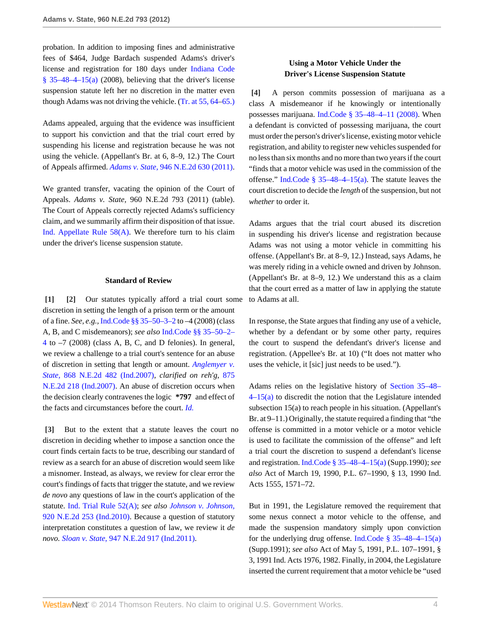probation. In addition to imposing fines and administrative fees of \$464, Judge Bardach suspended Adams's driver's license and registration for 180 days under [Indiana Code](http://www.westlaw.com/Link/Document/FullText?findType=L&pubNum=1000009&cite=INS35-48-4-15&originatingDoc=Iada70ae14e3e11e1b71fa7764cbfcb47&refType=SP&originationContext=document&vr=3.0&rs=cblt1.0&transitionType=DocumentItem&contextData=(sc.Search)#co_pp_8b3b0000958a4)  $§$  35–48–4–15(a) (2008), believing that the driver's license suspension statute left her no discretion in the matter even though Adams was not driving the vehicle. [\(Tr. at 55, 64](http://www.westlaw.com/Link/Document/FullText?findType=L&pubNum=1006354&cite=INSTRPR64&originatingDoc=Iada70ae14e3e11e1b71fa7764cbfcb47&refType=LQ&originationContext=document&vr=3.0&rs=cblt1.0&transitionType=DocumentItem&contextData=(sc.Search))[–65.\)](http://www.westlaw.com/Link/Document/FullText?findType=L&pubNum=1000009&cite=INSTRPR65&originatingDoc=Iada70ae14e3e11e1b71fa7764cbfcb47&refType=LQ&originationContext=document&vr=3.0&rs=cblt1.0&transitionType=DocumentItem&contextData=(sc.Search))

Adams appealed, arguing that the evidence was insufficient to support his conviction and that the trial court erred by suspending his license and registration because he was not using the vehicle. (Appellant's Br. at 6, 8–9, 12.) The Court of Appeals affirmed. *Adams v. State,* [946 N.E.2d 630 \(2011\).](http://www.westlaw.com/Link/Document/FullText?findType=Y&serNum=2024927313&pubNum=578&originationContext=document&vr=3.0&rs=cblt1.0&transitionType=DocumentItem&contextData=(sc.Search))

We granted transfer, vacating the opinion of the Court of Appeals. *Adams v. State,* 960 N.E.2d 793 (2011) (table). The Court of Appeals correctly rejected Adams's sufficiency claim, and we summarily affirm their disposition of that issue. Ind. Appellate Rule  $58(A)$ . We therefore turn to his claim under the driver's license suspension statute.

#### <span id="page-3-1"></span>**Standard of Review**

<span id="page-3-0"></span>**[\[1\]](#page-0-1) [\[2\]](#page-0-2)** Our statutes typically afford a trial court some discretion in setting the length of a prison term or the amount of a fine. *See, e.g.,* [Ind.Code §§ 35–50–3–2](http://www.westlaw.com/Link/Document/FullText?findType=L&pubNum=1000009&cite=INS35-50-3-2&originatingDoc=Iada70ae14e3e11e1b71fa7764cbfcb47&refType=LQ&originationContext=document&vr=3.0&rs=cblt1.0&transitionType=DocumentItem&contextData=(sc.Search)) to –4 (2008) (class A, B, and C misdemeanors); *see also* [Ind.Code §§ 35–50–2–](http://www.westlaw.com/Link/Document/FullText?findType=L&pubNum=1000009&cite=INS35-50-2-4&originatingDoc=Iada70ae14e3e11e1b71fa7764cbfcb47&refType=LQ&originationContext=document&vr=3.0&rs=cblt1.0&transitionType=DocumentItem&contextData=(sc.Search)) [4](http://www.westlaw.com/Link/Document/FullText?findType=L&pubNum=1000009&cite=INS35-50-2-4&originatingDoc=Iada70ae14e3e11e1b71fa7764cbfcb47&refType=LQ&originationContext=document&vr=3.0&rs=cblt1.0&transitionType=DocumentItem&contextData=(sc.Search)) to –7 (2008) (class A, B, C, and D felonies). In general, we review a challenge to a trial court's sentence for an abuse of discretion in setting that length or amount. *[Anglemyer v.](http://www.westlaw.com/Link/Document/FullText?findType=Y&serNum=2012545885&pubNum=578&originationContext=document&vr=3.0&rs=cblt1.0&transitionType=DocumentItem&contextData=(sc.Search)) State,* [868 N.E.2d 482 \(Ind.2007\),](http://www.westlaw.com/Link/Document/FullText?findType=Y&serNum=2012545885&pubNum=578&originationContext=document&vr=3.0&rs=cblt1.0&transitionType=DocumentItem&contextData=(sc.Search)) *clarified on reh'g,* [875](http://www.westlaw.com/Link/Document/FullText?findType=Y&serNum=2013865237&pubNum=578&originationContext=document&vr=3.0&rs=cblt1.0&transitionType=DocumentItem&contextData=(sc.Search)) [N.E.2d 218 \(Ind.2007\).](http://www.westlaw.com/Link/Document/FullText?findType=Y&serNum=2013865237&pubNum=578&originationContext=document&vr=3.0&rs=cblt1.0&transitionType=DocumentItem&contextData=(sc.Search)) An abuse of discretion occurs when the decision clearly contravenes the logic **\*797** and effect of the facts and circumstances before the court. *[Id.](http://www.westlaw.com/Link/Document/FullText?findType=Y&serNum=2012545885&originationContext=document&vr=3.0&rs=cblt1.0&transitionType=DocumentItem&contextData=(sc.Search))*

<span id="page-3-2"></span>**[\[3\]](#page-0-3)** But to the extent that a statute leaves the court no discretion in deciding whether to impose a sanction once the court finds certain facts to be true, describing our standard of review as a search for an abuse of discretion would seem like a misnomer. Instead, as always, we review for clear error the court's findings of facts that trigger the statute, and we review *de novo* any questions of law in the court's application of the statute. [Ind. Trial Rule 52\(A\)](http://www.westlaw.com/Link/Document/FullText?findType=L&pubNum=1000009&cite=INSTRPR52&originatingDoc=Iada70ae14e3e11e1b71fa7764cbfcb47&refType=LQ&originationContext=document&vr=3.0&rs=cblt1.0&transitionType=DocumentItem&contextData=(sc.Search)); *see also [Johnson v. Johnson,](http://www.westlaw.com/Link/Document/FullText?findType=Y&serNum=2021239290&pubNum=578&originationContext=document&vr=3.0&rs=cblt1.0&transitionType=DocumentItem&contextData=(sc.Search))* [920 N.E.2d 253 \(Ind.2010\)](http://www.westlaw.com/Link/Document/FullText?findType=Y&serNum=2021239290&pubNum=578&originationContext=document&vr=3.0&rs=cblt1.0&transitionType=DocumentItem&contextData=(sc.Search)). Because a question of statutory interpretation constitutes a question of law, we review it *de novo. Sloan v. State,* [947 N.E.2d 917 \(Ind.2011\)](http://www.westlaw.com/Link/Document/FullText?findType=Y&serNum=2025394935&pubNum=578&originationContext=document&vr=3.0&rs=cblt1.0&transitionType=DocumentItem&contextData=(sc.Search)).

# **Using a Motor Vehicle Under the Driver's License Suspension Statute**

<span id="page-3-3"></span>**[\[4\]](#page-0-0)** A person commits possession of marijuana as a class A misdemeanor if he knowingly or intentionally possesses marijuana. [Ind.Code § 35–48–4–11 \(2008\).](http://www.westlaw.com/Link/Document/FullText?findType=L&pubNum=1000009&cite=INS35-48-4-11&originatingDoc=Iada70ae14e3e11e1b71fa7764cbfcb47&refType=LQ&originationContext=document&vr=3.0&rs=cblt1.0&transitionType=DocumentItem&contextData=(sc.Search)) When a defendant is convicted of possessing marijuana, the court must order the person's driver's license, existing motor vehicle registration, and ability to register new vehicles suspended for no less than six months and no more than two years if the court "finds that a motor vehicle was used in the commission of the offense." [Ind.Code § 35–48–4–15\(a\).](http://www.westlaw.com/Link/Document/FullText?findType=L&pubNum=1000009&cite=INS35-48-4-15&originatingDoc=Iada70ae14e3e11e1b71fa7764cbfcb47&refType=SP&originationContext=document&vr=3.0&rs=cblt1.0&transitionType=DocumentItem&contextData=(sc.Search)#co_pp_8b3b0000958a4) The statute leaves the court discretion to decide the *length* of the suspension, but not *whether* to order it.

Adams argues that the trial court abused its discretion in suspending his driver's license and registration because Adams was not using a motor vehicle in committing his offense. (Appellant's Br. at 8–9, 12.) Instead, says Adams, he was merely riding in a vehicle owned and driven by Johnson. (Appellant's Br. at 8–9, 12.) We understand this as a claim that the court erred as a matter of law in applying the statute to Adams at all.

In response, the State argues that finding any use of a vehicle, whether by a defendant or by some other party, requires the court to suspend the defendant's driver's license and registration. (Appellee's Br. at 10) ("It does not matter who uses the vehicle, it [sic] just needs to be used.").

Adams relies on the legislative history of [Section 35–48–](http://www.westlaw.com/Link/Document/FullText?findType=L&pubNum=1000009&cite=INS35-48-4-15&originatingDoc=Iada70ae14e3e11e1b71fa7764cbfcb47&refType=SP&originationContext=document&vr=3.0&rs=cblt1.0&transitionType=DocumentItem&contextData=(sc.Search)#co_pp_8b3b0000958a4) [4–15\(a\)](http://www.westlaw.com/Link/Document/FullText?findType=L&pubNum=1000009&cite=INS35-48-4-15&originatingDoc=Iada70ae14e3e11e1b71fa7764cbfcb47&refType=SP&originationContext=document&vr=3.0&rs=cblt1.0&transitionType=DocumentItem&contextData=(sc.Search)#co_pp_8b3b0000958a4) to discredit the notion that the Legislature intended subsection 15(a) to reach people in his situation. (Appellant's Br. at 9–11.) Originally, the statute required a finding that "the offense is committed in a motor vehicle or a motor vehicle is used to facilitate the commission of the offense" and left a trial court the discretion to suspend a defendant's license and registration. [Ind.Code § 35–48–4–15\(a\)](http://www.westlaw.com/Link/Document/FullText?findType=L&pubNum=1000009&cite=INS35-48-4-15&originatingDoc=Iada70ae14e3e11e1b71fa7764cbfcb47&refType=SP&originationContext=document&vr=3.0&rs=cblt1.0&transitionType=DocumentItem&contextData=(sc.Search)#co_pp_8b3b0000958a4) (Supp.1990); *see also* Act of March 19, 1990, P.L. 67–1990, § 13, 1990 Ind. Acts 1555, 1571–72.

But in 1991, the Legislature removed the requirement that some nexus connect a motor vehicle to the offense, and made the suspension mandatory simply upon conviction for the underlying drug offense. [Ind.Code § 35–48–4–15\(a\)](http://www.westlaw.com/Link/Document/FullText?findType=L&pubNum=1000009&cite=INS35-48-4-15&originatingDoc=Iada70ae14e3e11e1b71fa7764cbfcb47&refType=SP&originationContext=document&vr=3.0&rs=cblt1.0&transitionType=DocumentItem&contextData=(sc.Search)#co_pp_8b3b0000958a4) (Supp.1991); *see also* Act of May 5, 1991, P.L. 107–1991, § 3, 1991 Ind. Acts 1976, 1982. Finally, in 2004, the Legislature inserted the current requirement that a motor vehicle be "used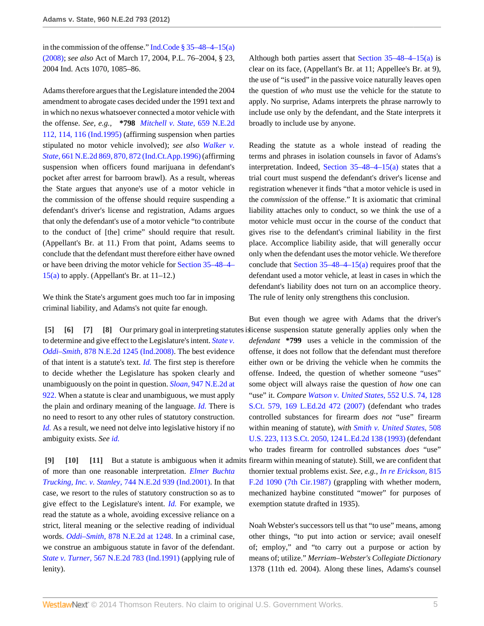in the commission of the offense." [Ind.Code § 35–48–4–15\(a\)](http://www.westlaw.com/Link/Document/FullText?findType=L&pubNum=1000009&cite=INS35-48-4-15&originatingDoc=Iada70ae14e3e11e1b71fa7764cbfcb47&refType=SP&originationContext=document&vr=3.0&rs=cblt1.0&transitionType=DocumentItem&contextData=(sc.Search)#co_pp_8b3b0000958a4) [\(2008\);](http://www.westlaw.com/Link/Document/FullText?findType=L&pubNum=1000009&cite=INS35-48-4-15&originatingDoc=Iada70ae14e3e11e1b71fa7764cbfcb47&refType=SP&originationContext=document&vr=3.0&rs=cblt1.0&transitionType=DocumentItem&contextData=(sc.Search)#co_pp_8b3b0000958a4) *see also* Act of March 17, 2004, P.L. 76–2004, § 23, 2004 Ind. Acts 1070, 1085–86.

Adams therefore argues that the Legislature intended the 2004 amendment to abrogate cases decided under the 1991 text and in which no nexus whatsoever connected a motor vehicle with the offense. *See, e.g.,* **\*798** *[Mitchell v. State,](http://www.westlaw.com/Link/Document/FullText?findType=Y&serNum=1995246147&pubNum=578&fi=co_pp_sp_578_114&originationContext=document&vr=3.0&rs=cblt1.0&transitionType=DocumentItem&contextData=(sc.Search)#co_pp_sp_578_114)* 659 N.E.2d [112, 114, 116 \(Ind.1995\)](http://www.westlaw.com/Link/Document/FullText?findType=Y&serNum=1995246147&pubNum=578&fi=co_pp_sp_578_114&originationContext=document&vr=3.0&rs=cblt1.0&transitionType=DocumentItem&contextData=(sc.Search)#co_pp_sp_578_114) (affirming suspension when parties stipulated no motor vehicle involved); *see also [Walker v.](http://www.westlaw.com/Link/Document/FullText?findType=Y&serNum=1996055104&pubNum=578&fi=co_pp_sp_578_870&originationContext=document&vr=3.0&rs=cblt1.0&transitionType=DocumentItem&contextData=(sc.Search)#co_pp_sp_578_870) State,* [661 N.E.2d 869, 870, 872 \(Ind.Ct.App.1996\)](http://www.westlaw.com/Link/Document/FullText?findType=Y&serNum=1996055104&pubNum=578&fi=co_pp_sp_578_870&originationContext=document&vr=3.0&rs=cblt1.0&transitionType=DocumentItem&contextData=(sc.Search)#co_pp_sp_578_870) (affirming suspension when officers found marijuana in defendant's pocket after arrest for barroom brawl). As a result, whereas the State argues that anyone's use of a motor vehicle in the commission of the offense should require suspending a defendant's driver's license and registration, Adams argues that only the defendant's use of a motor vehicle "to contribute to the conduct of [the] crime" should require that result. (Appellant's Br. at 11.) From that point, Adams seems to conclude that the defendant must therefore either have owned or have been driving the motor vehicle for [Section 35–48–4–](http://www.westlaw.com/Link/Document/FullText?findType=L&pubNum=1000009&cite=INS35-48-4-15&originatingDoc=Iada70ae14e3e11e1b71fa7764cbfcb47&refType=SP&originationContext=document&vr=3.0&rs=cblt1.0&transitionType=DocumentItem&contextData=(sc.Search)#co_pp_8b3b0000958a4)  $15(a)$  to apply. (Appellant's Br. at  $11-12$ .)

We think the State's argument goes much too far in imposing criminal liability, and Adams's not quite far enough.

to determine and give effect to the Legislature's intent. *[State v.](http://www.westlaw.com/Link/Document/FullText?findType=Y&serNum=2014706833&pubNum=578&originationContext=document&vr=3.0&rs=cblt1.0&transitionType=DocumentItem&contextData=(sc.Search)) Oddi–Smith,* [878 N.E.2d 1245 \(Ind.2008\).](http://www.westlaw.com/Link/Document/FullText?findType=Y&serNum=2014706833&pubNum=578&originationContext=document&vr=3.0&rs=cblt1.0&transitionType=DocumentItem&contextData=(sc.Search)) The best evidence of that intent is a statute's text. *[Id.](http://www.westlaw.com/Link/Document/FullText?findType=Y&serNum=2014706833&originationContext=document&vr=3.0&rs=cblt1.0&transitionType=DocumentItem&contextData=(sc.Search))* The first step is therefore to decide whether the Legislature has spoken clearly and unambiguously on the point in question. *Sloan,* [947 N.E.2d at](http://www.westlaw.com/Link/Document/FullText?findType=Y&serNum=2025394935&pubNum=578&fi=co_pp_sp_578_922&originationContext=document&vr=3.0&rs=cblt1.0&transitionType=DocumentItem&contextData=(sc.Search)#co_pp_sp_578_922) [922.](http://www.westlaw.com/Link/Document/FullText?findType=Y&serNum=2025394935&pubNum=578&fi=co_pp_sp_578_922&originationContext=document&vr=3.0&rs=cblt1.0&transitionType=DocumentItem&contextData=(sc.Search)#co_pp_sp_578_922) When a statute is clear and unambiguous, we must apply the plain and ordinary meaning of the language. *[Id.](http://www.westlaw.com/Link/Document/FullText?findType=Y&serNum=2025394935&originationContext=document&vr=3.0&rs=cblt1.0&transitionType=DocumentItem&contextData=(sc.Search))* There is no need to resort to any other rules of statutory construction. *[Id.](http://www.westlaw.com/Link/Document/FullText?findType=Y&serNum=2025394935&originationContext=document&vr=3.0&rs=cblt1.0&transitionType=DocumentItem&contextData=(sc.Search))* As a result, we need not delve into legislative history if no ambiguity exists. *See [id.](http://www.westlaw.com/Link/Document/FullText?findType=Y&serNum=2025394935&originationContext=document&vr=3.0&rs=cblt1.0&transitionType=DocumentItem&contextData=(sc.Search))*

<span id="page-4-6"></span><span id="page-4-5"></span><span id="page-4-4"></span>of more than one reasonable interpretation. *[Elmer Buchta](http://www.westlaw.com/Link/Document/FullText?findType=Y&serNum=2001254588&pubNum=578&originationContext=document&vr=3.0&rs=cblt1.0&transitionType=DocumentItem&contextData=(sc.Search)) Trucking, Inc. v. Stanley,* [744 N.E.2d 939 \(Ind.2001\).](http://www.westlaw.com/Link/Document/FullText?findType=Y&serNum=2001254588&pubNum=578&originationContext=document&vr=3.0&rs=cblt1.0&transitionType=DocumentItem&contextData=(sc.Search)) In that case, we resort to the rules of statutory construction so as to give effect to the Legislature's intent. *[Id.](http://www.westlaw.com/Link/Document/FullText?findType=Y&serNum=2001254588&originationContext=document&vr=3.0&rs=cblt1.0&transitionType=DocumentItem&contextData=(sc.Search))* For example, we read the statute as a whole, avoiding excessive reliance on a strict, literal meaning or the selective reading of individual words. *Oddi–Smith,* [878 N.E.2d at 1248.](http://www.westlaw.com/Link/Document/FullText?findType=Y&serNum=2014706833&pubNum=578&fi=co_pp_sp_578_1248&originationContext=document&vr=3.0&rs=cblt1.0&transitionType=DocumentItem&contextData=(sc.Search)#co_pp_sp_578_1248) In a criminal case, we construe an ambiguous statute in favor of the defendant. *State v. Turner,* [567 N.E.2d 783 \(Ind.1991\)](http://www.westlaw.com/Link/Document/FullText?findType=Y&serNum=1991051290&pubNum=578&originationContext=document&vr=3.0&rs=cblt1.0&transitionType=DocumentItem&contextData=(sc.Search)) (applying rule of lenity).

Although both parties assert that Section  $35-48-4-15(a)$  is clear on its face, (Appellant's Br. at 11; Appellee's Br. at 9), the use of "is used" in the passive voice naturally leaves open the question of *who* must use the vehicle for the statute to apply. No surprise, Adams interprets the phrase narrowly to include use only by the defendant, and the State interprets it broadly to include use by anyone.

Reading the statute as a whole instead of reading the terms and phrases in isolation counsels in favor of Adams's interpretation. Indeed, Section  $35-48-4-15(a)$  states that a trial court must suspend the defendant's driver's license and registration whenever it finds "that a motor vehicle is used in the *commission* of the offense." It is axiomatic that criminal liability attaches only to conduct, so we think the use of a motor vehicle must occur in the course of the conduct that gives rise to the defendant's criminal liability in the first place. Accomplice liability aside, that will generally occur only when the defendant uses the motor vehicle. We therefore conclude that Section  $35-48-4-15$ (a) requires proof that the defendant used a motor vehicle, at least in cases in which the defendant's liability does not turn on an accomplice theory. The rule of lenity only strengthens this conclusion.

<span id="page-4-3"></span><span id="page-4-2"></span><span id="page-4-1"></span><span id="page-4-0"></span>[\[5\]](#page-0-4) [\[6\]](#page-0-5) [\[7](#page-0-6)] [\[8\]](#page-1-0) Our primary goal in interpreting statutes is dicense suspension statute generally applies only when the **[\[9\]](#page-1-1) [\[10](#page-1-2)] [\[11\]](#page-1-3)** But a statute is ambiguous when it admits firearm within meaning of statute). Still, we are confident that But even though we agree with Adams that the driver's *defendant* **\*799** uses a vehicle in the commission of the offense, it does not follow that the defendant must therefore either own or be driving the vehicle when he commits the offense. Indeed, the question of whether someone "uses" some object will always raise the question of *how* one can "use" it. *Compare [Watson v. United States,](http://www.westlaw.com/Link/Document/FullText?findType=Y&serNum=2014313734&pubNum=708&originationContext=document&vr=3.0&rs=cblt1.0&transitionType=DocumentItem&contextData=(sc.Search))* 552 U.S. 74, 128 [S.Ct. 579, 169 L.Ed.2d 472 \(2007\)](http://www.westlaw.com/Link/Document/FullText?findType=Y&serNum=2014313734&pubNum=708&originationContext=document&vr=3.0&rs=cblt1.0&transitionType=DocumentItem&contextData=(sc.Search)) (defendant who trades controlled substances for firearm *does not* "use" firearm within meaning of statute), *with [Smith v. United States,](http://www.westlaw.com/Link/Document/FullText?findType=Y&serNum=1993113765&pubNum=708&originationContext=document&vr=3.0&rs=cblt1.0&transitionType=DocumentItem&contextData=(sc.Search))* 508 [U.S. 223, 113 S.Ct. 2050, 124 L.Ed.2d 138 \(1993\)](http://www.westlaw.com/Link/Document/FullText?findType=Y&serNum=1993113765&pubNum=708&originationContext=document&vr=3.0&rs=cblt1.0&transitionType=DocumentItem&contextData=(sc.Search)) (defendant who trades firearm for controlled substances *does* "use" thornier textual problems exist. *See, e.g., [In re Erickson,](http://www.westlaw.com/Link/Document/FullText?findType=Y&serNum=1987044732&pubNum=350&originationContext=document&vr=3.0&rs=cblt1.0&transitionType=DocumentItem&contextData=(sc.Search))* 815 [F.2d 1090 \(7th Cir.1987\)](http://www.westlaw.com/Link/Document/FullText?findType=Y&serNum=1987044732&pubNum=350&originationContext=document&vr=3.0&rs=cblt1.0&transitionType=DocumentItem&contextData=(sc.Search)) (grappling with whether modern, mechanized haybine constituted "mower" for purposes of exemption statute drafted in 1935).

> Noah Webster's successors tell us that "to use" means, among other things, "to put into action or service; avail oneself of; employ," and "to carry out a purpose or action by means of; utilize." *Merriam–Webster's Collegiate Dictionary* 1378 (11th ed. 2004). Along these lines, Adams's counsel